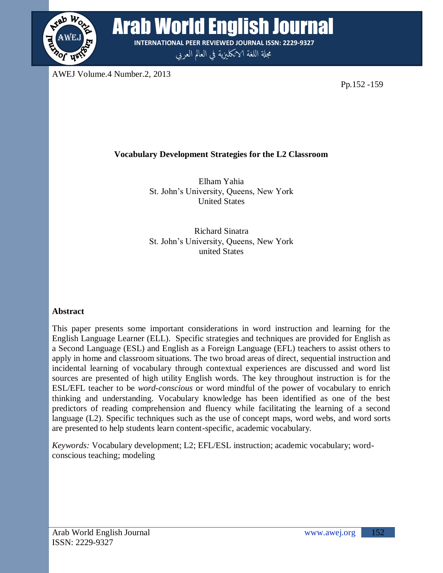

Arab World English Journal **INTERNATIONAL PEER REVIEWED JOURNAL ISSN: 2229-9327**

مجلة اللغة الانكليزية في العالم العربي

AWEJ Volume.4 Number.2, 2013

Pp.152 -159

# **Vocabulary Development Strategies for the L2 Classroom**

Elham Yahia St. John"s University, Queens, New York United States

Richard Sinatra St. John"s University, Queens, New York united States

## **Abstract**

This paper presents some important considerations in word instruction and learning for the English Language Learner (ELL). Specific strategies and techniques are provided for English as a Second Language (ESL) and English as a Foreign Language (EFL) teachers to assist others to apply in home and classroom situations. The two broad areas of direct, sequential instruction and incidental learning of vocabulary through contextual experiences are discussed and word list sources are presented of high utility English words. The key throughout instruction is for the ESL/EFL teacher to be *word-conscious* or word mindful of the power of vocabulary to enrich thinking and understanding. Vocabulary knowledge has been identified as one of the best predictors of reading comprehension and fluency while facilitating the learning of a second language (L2). Specific techniques such as the use of concept maps, word webs, and word sorts are presented to help students learn content-specific, academic vocabulary.

*Keywords:* Vocabulary development; L2; EFL/ESL instruction; academic vocabulary; wordconscious teaching; modeling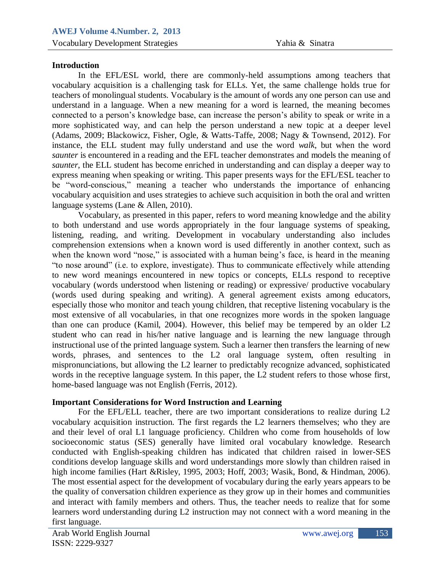# **Introduction**

vocabulary acquisition is a challenging task for ELLs. Yet, the same challenge holds true for understand in a language. When a new meaning for a word is learned, the meaning becomes In the EFL/ESL world, there are commonly-held assumptions among teachers that teachers of monolingual students. Vocabulary is the amount of words any one person can use and connected to a person"s knowledge base, can increase the person"s ability to speak or write in a more sophisticated way, and can help the person understand a new topic at a deeper level (Adams, 2009; Blackowicz, Fisher, Ogle, & Watts-Taffe, 2008; Nagy & Townsend, 2012). For instance, the ELL student may fully understand and use the word *walk*, but when the word *saunter* is encountered in a reading and the EFL teacher demonstrates and models the meaning of *saunter*, the ELL student has become enriched in understanding and can display a deeper way to express meaning when speaking or writing. This paper presents ways for the EFL/ESL teacher to be "word-conscious," meaning a teacher who understands the importance of enhancing vocabulary acquisition and uses strategies to achieve such acquisition in both the oral and written language systems (Lane & Allen, 2010).

Vocabulary, as presented in this paper, refers to word meaning knowledge and the ability to both understand and use words appropriately in the four language systems of speaking, listening, reading, and writing. Development in vocabulary understanding also includes comprehension extensions when a known word is used differently in another context, such as when the known word "nose," is associated with a human being's face, is heard in the meaning "to nose around" (i.e. to explore, investigate). Thus to communicate effectively while attending to new word meanings encountered in new topics or concepts, ELLs respond to receptive vocabulary (words understood when listening or reading) or expressive/ productive vocabulary (words used during speaking and writing). A general agreement exists among educators, especially those who monitor and teach young children, that receptive listening vocabulary is the most extensive of all vocabularies, in that one recognizes more words in the spoken language than one can produce (Kamil, 2004). However, this belief may be tempered by an older L2 student who can read in his/her native language and is learning the new language through instructional use of the printed language system. Such a learner then transfers the learning of new words, phrases, and sentences to the L2 oral language system, often resulting in mispronunciations, but allowing the L2 learner to predictably recognize advanced, sophisticated words in the receptive language system. In this paper, the L2 student refers to those whose first, home-based language was not English (Ferris, 2012).

### **Important Considerations for Word Instruction and Learning**

For the EFL/ELL teacher, there are two important considerations to realize during L2 vocabulary acquisition instruction. The first regards the L2 learners themselves; who they are and their level of oral L1 language proficiency. Children who come from households of low socioeconomic status (SES) generally have limited oral vocabulary knowledge. Research conducted with English-speaking children has indicated that children raised in lower-SES conditions develop language skills and word understandings more slowly than children raised in high income families (Hart &Risley, 1995, 2003; Hoff, 2003; Wasik, Bond, & Hindman, 2006). The most essential aspect for the development of vocabulary during the early years appears to be the quality of conversation children experience as they grow up in their homes and communities and interact with family members and others. Thus, the teacher needs to realize that for some learners word understanding during L2 instruction may not connect with a word meaning in the first language.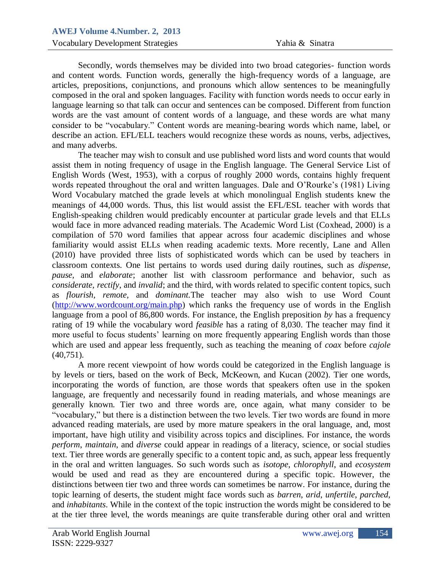secondry, words then serves may be divided into two broad eategories- function words<br>and content words. Function words, generally the high-frequency words of a language, are articles, prepositions, conjunctions, and pronouns which allow sentences to be meaningfully language learning so that talk can occur and sentences can be composed. Different from function Secondly, words themselves may be divided into two broad categories- function words composed in the oral and spoken languages. Facility with function words needs to occur early in words are the vast amount of content words of a language, and these words are what many consider to be "vocabulary." Content words are meaning-bearing words which name, label, or describe an action. EFL/ELL teachers would recognize these words as nouns, verbs, adjectives, and many adverbs.

The teacher may wish to consult and use published word lists and word counts that would assist them in noting frequency of usage in the English language. The General Service List of English Words (West, 1953), with a corpus of roughly 2000 words, contains highly frequent words repeated throughout the oral and written languages. Dale and O"Rourke"s (1981) Living Word Vocabulary matched the grade levels at which monolingual English students knew the meanings of 44,000 words. Thus, this list would assist the EFL/ESL teacher with words that English-speaking children would predicably encounter at particular grade levels and that ELLs would face in more advanced reading materials. The Academic Word List (Coxhead, 2000) is a compilation of 570 word families that appear across four academic disciplines and whose familiarity would assist ELLs when reading academic texts. More recently, Lane and Allen (2010) have provided three lists of sophisticated words which can be used by teachers in classroom contexts. One list pertains to words used during daily routines, such as *dispense, pause,* and *elaborate*; another list with classroom performance and behavior, such as *considerate, rectify*, and *invalid*; and the third, with words related to specific content topics, such as *flourish, remote,* and *dominant.*The teacher may also wish to use Word Count [\(http://www.wordcount.org/main.php\)](http://www.wordcount.org/main.php) which ranks the frequency use of words in the English language from a pool of 86,800 words. For instance, the English preposition *by* has a frequency rating of 19 while the vocabulary word *feasible* has a rating of 8,030. The teacher may find it more useful to focus students' learning on more frequently appearing English words than those which are used and appear less frequently, such as teaching the meaning of *coax* before *cajole* (40,751).

A more recent viewpoint of how words could be categorized in the English language is by levels or tiers, based on the work of Beck, McKeown, and Kucan (2002). Tier one words, incorporating the words of function, are those words that speakers often use in the spoken language, are frequently and necessarily found in reading materials, and whose meanings are generally known. Tier two and three words are, once again, what many consider to be "vocabulary," but there is a distinction between the two levels. Tier two words are found in more advanced reading materials, are used by more mature speakers in the oral language, and, most important, have high utility and visibility across topics and disciplines. For instance, the words *perform*, *maintain*, and *diverse* could appear in readings of a literacy, science, or social studies text. Tier three words are generally specific to a content topic and, as such, appear less frequently in the oral and written languages. So such words such as *isotope*, *chlorophyll*, and *ecosystem* would be used and read as they are encountered during a specific topic. However, the distinctions between tier two and three words can sometimes be narrow. For instance, during the topic learning of deserts, the student might face words such as *barren*, *arid*, *unfertile*, *parched*, and *inhabitants*. While in the context of the topic instruction the words might be considered to be at the tier three level, the words meanings are quite transferable during other oral and written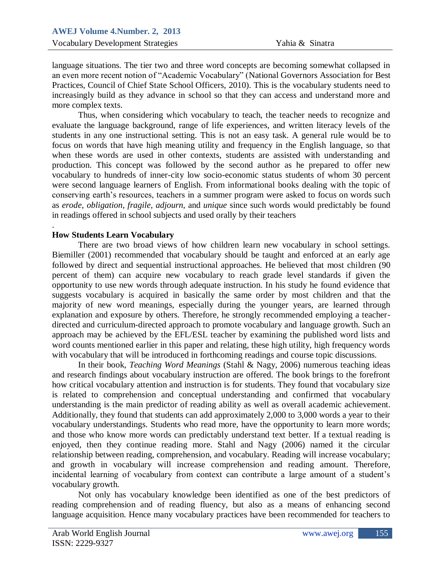anguage situations. The tier two and time word concepts are occoming somewhat conapsed in<br>an even more recent notion of "Academic Vocabulary" (National Governors Association for Best Practices, Council of Chief State School Officers, 2010). This is the vocabulary students need to more complex texts. language situations. The tier two and three word concepts are becoming somewhat collapsed in increasingly build as they advance in school so that they can access and understand more and

Thus, when considering which vocabulary to teach, the teacher needs to recognize and evaluate the language background, range of life experiences, and written literacy levels of the students in any one instructional setting. This is not an easy task. A general rule would be to focus on words that have high meaning utility and frequency in the English language, so that when these words are used in other contexts, students are assisted with understanding and production. This concept was followed by the second author as he prepared to offer new vocabulary to hundreds of inner-city low socio-economic status students of whom 30 percent were second language learners of English. From informational books dealing with the topic of conserving earth's resources, teachers in a summer program were asked to focus on words such as *erode*, *obligation*, *fragile*, *adjourn*, and *unique* since such words would predictably be found in readings offered in school subjects and used orally by their teachers

### **How Students Learn Vocabulary**

.

There are two broad views of how children learn new vocabulary in school settings. Biemiller (2001) recommended that vocabulary should be taught and enforced at an early age followed by direct and sequential instructional approaches. He believed that most children (90 percent of them) can acquire new vocabulary to reach grade level standards if given the opportunity to use new words through adequate instruction. In his study he found evidence that suggests vocabulary is acquired in basically the same order by most children and that the majority of new word meanings, especially during the younger years, are learned through explanation and exposure by others. Therefore, he strongly recommended employing a teacherdirected and curriculum-directed approach to promote vocabulary and language growth. Such an approach may be achieved by the EFL/ESL teacher by examining the published word lists and word counts mentioned earlier in this paper and relating, these high utility, high frequency words with vocabulary that will be introduced in forthcoming readings and course topic discussions.

In their book, *Teaching Word Meanings* (Stahl & Nagy, 2006) numerous teaching ideas and research findings about vocabulary instruction are offered. The book brings to the forefront how critical vocabulary attention and instruction is for students. They found that vocabulary size is related to comprehension and conceptual understanding and confirmed that vocabulary understanding is the main predictor of reading ability as well as overall academic achievement. Additionally, they found that students can add approximately 2,000 to 3,000 words a year to their vocabulary understandings. Students who read more, have the opportunity to learn more words; and those who know more words can predictably understand text better. If a textual reading is enjoyed, then they continue reading more. Stahl and Nagy (2006) named it the circular relationship between reading, comprehension, and vocabulary. Reading will increase vocabulary; and growth in vocabulary will increase comprehension and reading amount. Therefore, incidental learning of vocabulary from context can contribute a large amount of a student"s vocabulary growth.

Not only has vocabulary knowledge been identified as one of the best predictors of reading comprehension and of reading fluency, but also as a means of enhancing second language acquisition. Hence many vocabulary practices have been recommended for teachers to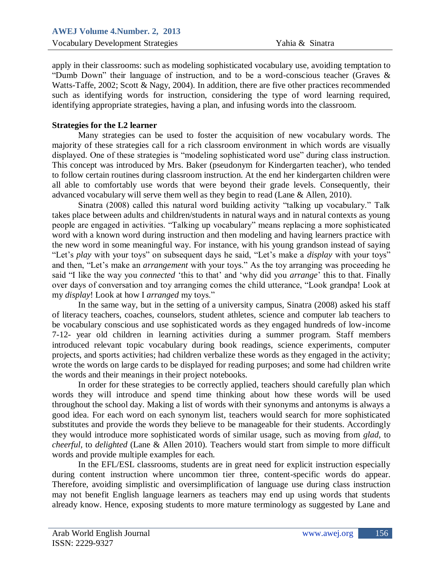$\alpha$ -Apply in their classrooms, such as modeling sophisticated vocabulary use, avoiding temptation to "Dumb Down" their language of instruction, and to be a word-conscious teacher (Graves  $\&$ Watts-Taffe, 2002; Scott & Nagy, 2004). In addition, there are five other practices recommended identifying appropriate strategies, having a plan, and infusing words into the classroom. apply in their classrooms: such as modeling sophisticated vocabulary use, avoiding temptation to such as identifying words for instruction, considering the type of word learning required,

### **Strategies for the L2 learner**

Many strategies can be used to foster the acquisition of new vocabulary words. The majority of these strategies call for a rich classroom environment in which words are visually displayed. One of these strategies is "modeling sophisticated word use" during class instruction. This concept was introduced by Mrs. Baker (pseudonym for Kindergarten teacher), who tended to follow certain routines during classroom instruction. At the end her kindergarten children were all able to comfortably use words that were beyond their grade levels. Consequently, their advanced vocabulary will serve them well as they begin to read (Lane & Allen, 2010).

Sinatra (2008) called this natural word building activity "talking up vocabulary." Talk takes place between adults and children/students in natural ways and in natural contexts as young people are engaged in activities. "Talking up vocabulary" means replacing a more sophisticated word with a known word during instruction and then modeling and having learners practice with the new word in some meaningful way. For instance, with his young grandson instead of saying "Let"s *play* with your toys" on subsequent days he said, "Let"s make a *display* with your toys" and then, "Let's make an *arrangement* with your toys." As the toy arranging was proceeding he said "I like the way you *connected* 'this to that' and 'why did you *arrange*' this to that. Finally over days of conversation and toy arranging comes the child utterance, "Look grandpa! Look at my *display*! Look at how I *arranged* my toys."

In the same way, but in the setting of a university campus, Sinatra (2008) asked his staff of literacy teachers, coaches, counselors, student athletes, science and computer lab teachers to be vocabulary conscious and use sophisticated words as they engaged hundreds of low-income 7-12- year old children in learning activities during a summer program. Staff members introduced relevant topic vocabulary during book readings, science experiments, computer projects, and sports activities; had children verbalize these words as they engaged in the activity; wrote the words on large cards to be displayed for reading purposes; and some had children write the words and their meanings in their project notebooks.

In order for these strategies to be correctly applied, teachers should carefully plan which words they will introduce and spend time thinking about how these words will be used throughout the school day. Making a list of words with their synonyms and antonyms is always a good idea. For each word on each synonym list, teachers would search for more sophisticated substitutes and provide the words they believe to be manageable for their students. Accordingly they would introduce more sophisticated words of similar usage, such as moving from *glad,* to *cheerful,* to *delighted* (Lane & Allen 2010)*.* Teachers would start from simple to more difficult words and provide multiple examples for each.

In the EFL/ESL classrooms, students are in great need for explicit instruction especially during content instruction where uncommon tier three, content-specific words do appear. Therefore, avoiding simplistic and oversimplification of language use during class instruction may not benefit English language learners as teachers may end up using words that students already know. Hence, exposing students to more mature terminology as suggested by Lane and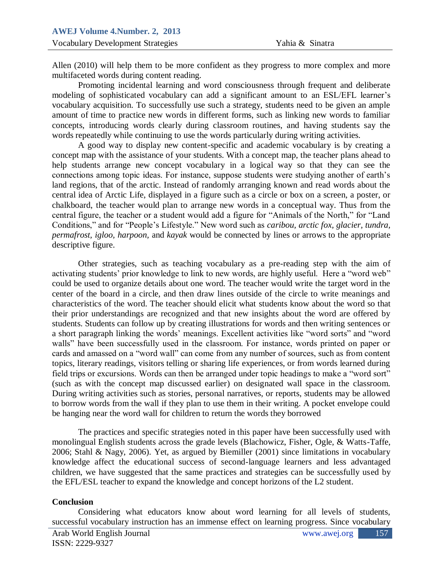Alleh (2010) will help them to be more commutifaceted words during content reading. Allen (2010) will help them to be more confident as they progress to more complex and more

vocabulary acquisition. To successfully use such a strategy, students need to be given an ample Promoting incidental learning and word consciousness through frequent and deliberate modeling of sophisticated vocabulary can add a significant amount to an ESL/EFL learner"s amount of time to practice new words in different forms, such as linking new words to familiar concepts, introducing words clearly during classroom routines, and having students say the words repeatedly while continuing to use the words particularly during writing activities.

A good way to display new content-specific and academic vocabulary is by creating a concept map with the assistance of your students. With a concept map, the teacher plans ahead to help students arrange new concept vocabulary in a logical way so that they can see the connections among topic ideas. For instance, suppose students were studying another of earth"s land regions, that of the arctic. Instead of randomly arranging known and read words about the central idea of Arctic Life, displayed in a figure such as a circle or box on a screen, a poster, or chalkboard, the teacher would plan to arrange new words in a conceptual way. Thus from the central figure, the teacher or a student would add a figure for "Animals of the North," for "Land Conditions," and for "People"s Lifestyle." New word such as *caribou, arctic fox, glacier, tundra, permafrost, igloo, harpoon,* and *kayak* would be connected by lines or arrows to the appropriate descriptive figure.

Other strategies, such as teaching vocabulary as a pre-reading step with the aim of activating students' prior knowledge to link to new words, are highly useful. Here a "word web" could be used to organize details about one word. The teacher would write the target word in the center of the board in a circle, and then draw lines outside of the circle to write meanings and characteristics of the word. The teacher should elicit what students know about the word so that their prior understandings are recognized and that new insights about the word are offered by students. Students can follow up by creating illustrations for words and then writing sentences or a short paragraph linking the words" meanings. Excellent activities like "word sorts" and "word walls" have been successfully used in the classroom. For instance, words printed on paper or cards and amassed on a "word wall" can come from any number of sources, such as from content topics, literary readings, visitors telling or sharing life experiences, or from words learned during field trips or excursions. Words can then be arranged under topic headings to make a "word sort" (such as with the concept map discussed earlier) on designated wall space in the classroom. During writing activities such as stories, personal narratives, or reports, students may be allowed to borrow words from the wall if they plan to use them in their writing. A pocket envelope could be hanging near the word wall for children to return the words they borrowed

The practices and specific strategies noted in this paper have been successfully used with monolingual English students across the grade levels (Blachowicz, Fisher, Ogle, & Watts-Taffe, 2006; Stahl & Nagy, 2006). Yet, as argued by Biemiller (2001) since limitations in vocabulary knowledge affect the educational success of second-language learners and less advantaged children, we have suggested that the same practices and strategies can be successfully used by the EFL/ESL teacher to expand the knowledge and concept horizons of the L2 student.

#### **Conclusion**

Considering what educators know about word learning for all levels of students, successful vocabulary instruction has an immense effect on learning progress. Since vocabulary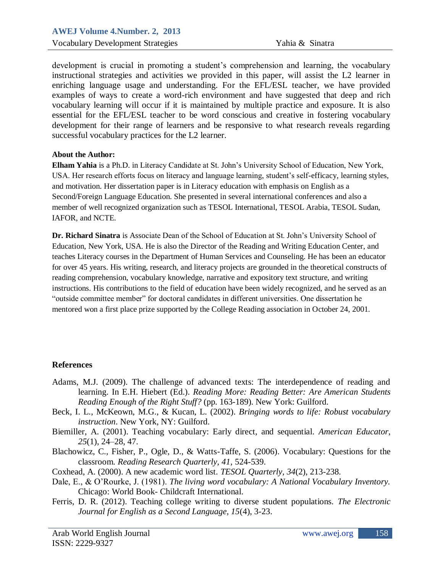instructional strategies and activities we provided in this paper, will assist the L2 learner in enriching language usage and understanding. For the EFL/ESL teacher, we have provided vocabulary learning will occur if it is maintained by multiple practice and exposure. It is also development is crucial in promoting a student"s comprehension and learning, the vocabulary examples of ways to create a word-rich environment and have suggested that deep and rich essential for the EFL/ESL teacher to be word conscious and creative in fostering vocabulary development for their range of learners and be responsive to what research reveals regarding successful vocabulary practices for the L2 learner.

#### **About the Author:**

**Elham Yahia** is a Ph.D. in Literacy Candidate at St. John"s University School of Education, New York, USA. Her research efforts focus on literacy and language learning, student's self-efficacy, learning styles, and motivation. Her dissertation paper is in Literacy education with emphasis on English as a Second/Foreign Language Education. She presented in several international conferences and also a member of well recognized organization such as TESOL International, TESOL Arabia, TESOL Sudan, IAFOR, and NCTE.

**Dr. Richard Sinatra** is Associate Dean of the School of Education at St. John"s University School of Education, New York, USA. He is also the Director of the Reading and Writing Education Center, and teaches Literacy courses in the Department of Human Services and Counseling. He has been an educator for over 45 years. His writing, research, and literacy projects are grounded in the theoretical constructs of reading comprehension, vocabulary knowledge, narrative and expository text structure, and writing instructions. His contributions to the field of education have been widely recognized, and he served as an "outside committee member" for doctoral candidates in different universities. One dissertation he mentored won a first place prize supported by the College Reading association in October 24, 2001.

### **References**

- Adams, M.J. (2009). The challenge of advanced texts: The interdependence of reading and learning. In E.H. Hiebert (Ed.). *Reading More: Reading Better: Are American Students Reading Enough of the Right Stuff?* (pp. 163-189). New York: Guilford.
- [Beck, I. L.,](http://www.tandfonline.com/action/doSearch?action=runSearch&type=advanced&searchType=journal&result=true&prevSearch=%2Bauthorsfield%3A%28Beck%2C+I.+L.%29) [McKeown, M.G.,](http://www.tandfonline.com/action/doSearch?action=runSearch&type=advanced&searchType=journal&result=true&prevSearch=%2Bauthorsfield%3A%28McKeown%2C+M.+G.%29) & [Kucan, L. \(](http://www.tandfonline.com/action/doSearch?action=runSearch&type=advanced&searchType=journal&result=true&prevSearch=%2Bauthorsfield%3A%28Kucan%2C+L.%29)2002). *Bringing words to life: Robust vocabulary instruction*. New York, NY: Guilford.
- [Biemiller, A. \(](http://www.tandfonline.com/action/doSearch?action=runSearch&type=advanced&searchType=journal&result=true&prevSearch=%2Bauthorsfield%3A%28Biemiller%2C+A.%29)2001). Teaching vocabulary: Early direct, and sequential. *American Educator*, *25*(1), 24–28, 47.
- Blachowicz, C., Fisher, P., Ogle, D., & Watts-Taffe, S. (2006). Vocabulary: Questions for the classroom. *Reading Research Quarterly, 41*, 524-539.
- Coxhead, A. (2000). A new academic word list. *TESOL Quarterly, 34*(2), 213-238.
- Dale, E., & O"Rourke, J. (1981). *The living word vocabulary: A National Vocabulary Inventory.* Chicago: World Book- Childcraft International.
- Ferris, D. R. (2012). Teaching college writing to diverse student populations. *The Electronic Journal for English as a Second Language, 15*(4), 3-23.